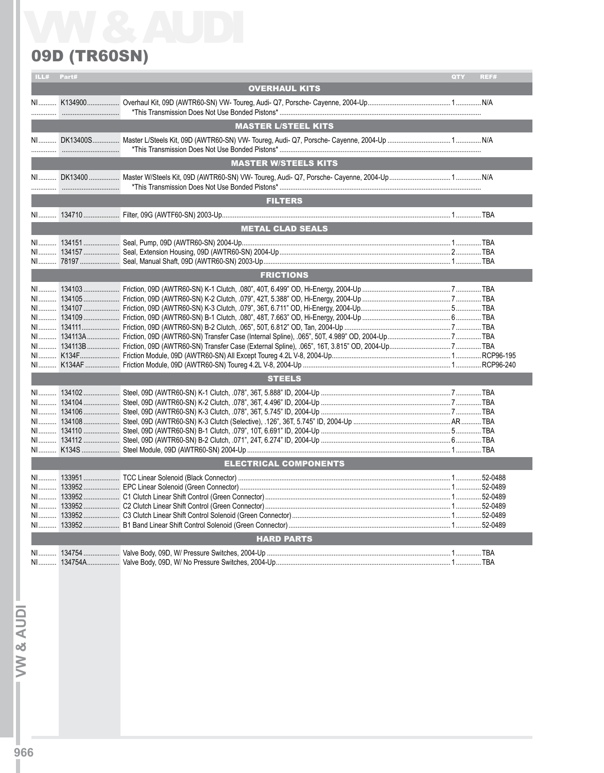## 09D (TR60SN)

|    | ILL# Part# |                                              | QTY | REF# |
|----|------------|----------------------------------------------|-----|------|
|    |            | <b>OVERHAUL KITS</b>                         |     |      |
|    |            |                                              |     |      |
|    |            |                                              |     |      |
|    |            | <b>MASTER L/STEEL KITS</b>                   |     |      |
|    |            |                                              |     |      |
|    |            | <b>MASTER W/STEELS KITS</b>                  |     |      |
|    |            |                                              |     |      |
|    |            |                                              |     |      |
|    |            | <b>FILTERS</b>                               |     |      |
|    |            |                                              |     |      |
|    |            | <b>METAL CLAD SEALS</b>                      |     |      |
|    |            |                                              |     |      |
|    |            |                                              |     |      |
|    |            | <b>FRICTIONS</b>                             |     |      |
|    |            |                                              |     |      |
|    |            |                                              |     |      |
|    |            |                                              |     |      |
|    |            |                                              |     |      |
|    |            |                                              |     |      |
|    |            |                                              |     |      |
|    |            |                                              |     |      |
|    |            |                                              |     |      |
|    |            |                                              |     |      |
|    |            | <b>STEELS</b>                                |     |      |
|    |            |                                              |     |      |
|    |            |                                              |     |      |
|    |            |                                              |     |      |
|    |            |                                              |     |      |
|    |            |                                              |     |      |
| NI |            | K134S  Steel Module, 09D (AWTR60-SN) 2004-Up |     |      |
|    |            | <b>ELECTRICAL COMPONENTS</b>                 |     |      |
|    |            |                                              |     |      |
|    |            |                                              |     |      |
|    |            |                                              |     |      |
|    |            |                                              |     |      |
|    |            |                                              |     |      |
| NI |            |                                              |     |      |
|    |            | <b>HARD PARTS</b>                            |     |      |
|    |            |                                              |     |      |
| NI |            |                                              |     |      |